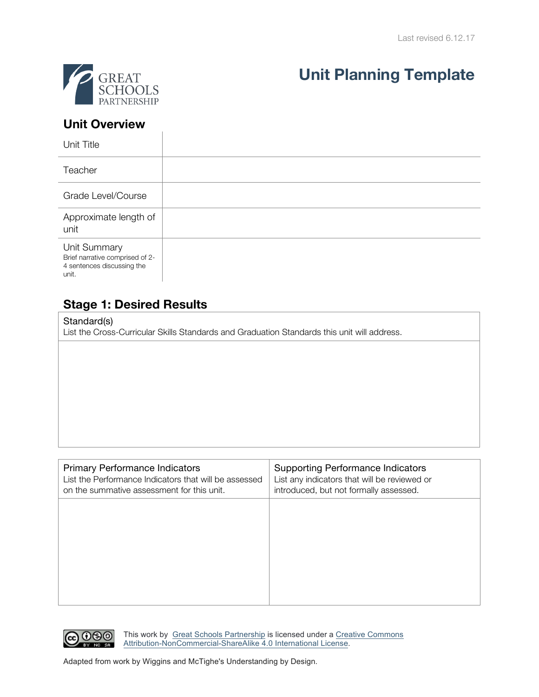

# **Unit Planning Template**

### **Unit Overview**

 $\overline{1}$ 

| Unit Title                                                                             |  |
|----------------------------------------------------------------------------------------|--|
| Teacher                                                                                |  |
| Grade Level/Course                                                                     |  |
| Approximate length of<br>unit                                                          |  |
| Unit Summary<br>Brief narrative comprised of 2-<br>4 sentences discussing the<br>unit. |  |

## **Stage 1: Desired Results**

Standard(s)

List the Cross-Curricular Skills Standards and Graduation Standards this unit will address.

| <b>Primary Performance Indicators</b><br>List the Performance Indicators that will be assessed<br>on the summative assessment for this unit. | <b>Supporting Performance Indicators</b><br>List any indicators that will be reviewed or<br>introduced, but not formally assessed. |
|----------------------------------------------------------------------------------------------------------------------------------------------|------------------------------------------------------------------------------------------------------------------------------------|
|                                                                                                                                              |                                                                                                                                    |
|                                                                                                                                              |                                                                                                                                    |
|                                                                                                                                              |                                                                                                                                    |



This work by Great Schools Partnership is licensed under a Creative Commons Attribution-NonCommercial-ShareAlike 4.0 International License.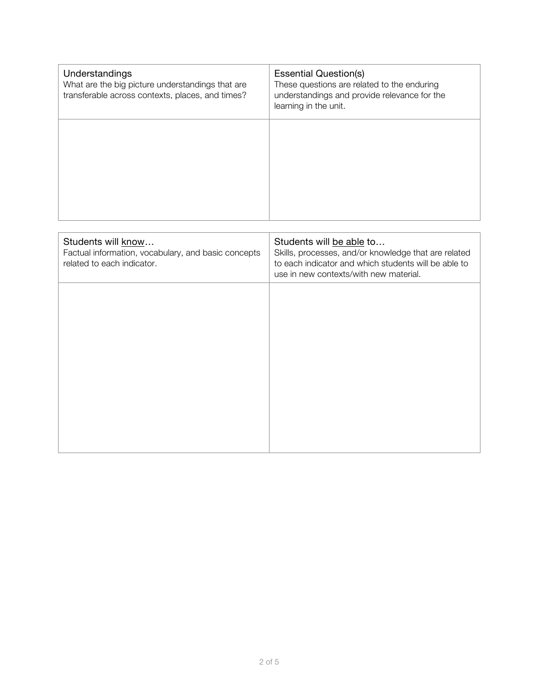| Understandings<br>What are the big picture understandings that are<br>transferable across contexts, places, and times? | <b>Essential Question(s)</b><br>These questions are related to the enduring<br>understandings and provide relevance for the<br>learning in the unit.                               |
|------------------------------------------------------------------------------------------------------------------------|------------------------------------------------------------------------------------------------------------------------------------------------------------------------------------|
|                                                                                                                        |                                                                                                                                                                                    |
|                                                                                                                        |                                                                                                                                                                                    |
|                                                                                                                        |                                                                                                                                                                                    |
| Students will know<br>Factual information, vocabulary, and basic concepts<br>related to each indicator.                | Students will be able to<br>Skills, processes, and/or knowledge that are related<br>to each indicator and which students will be able to<br>use in new contexts/with new material. |
|                                                                                                                        |                                                                                                                                                                                    |
|                                                                                                                        |                                                                                                                                                                                    |
|                                                                                                                        |                                                                                                                                                                                    |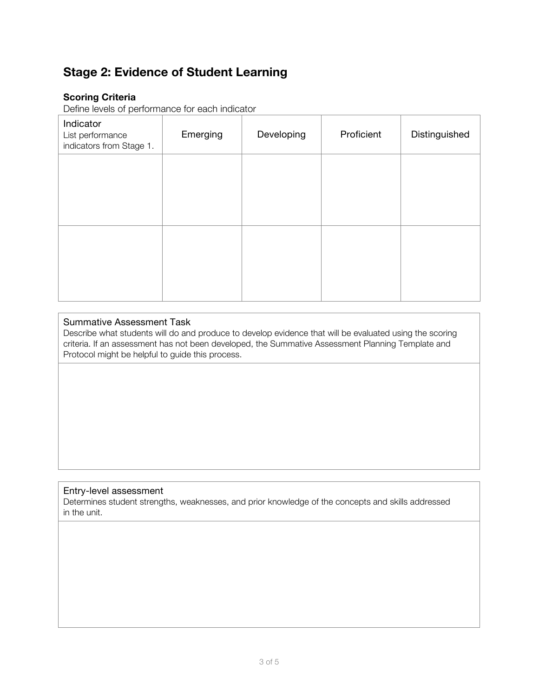# **Stage 2: Evidence of Student Learning**

#### **Scoring Criteria**

Define levels of performance for each indicator

| Indicator<br>List performance<br>indicators from Stage 1. | Emerging | Developing | Proficient | Distinguished |
|-----------------------------------------------------------|----------|------------|------------|---------------|
|                                                           |          |            |            |               |
|                                                           |          |            |            |               |
|                                                           |          |            |            |               |
|                                                           |          |            |            |               |

#### Summative Assessment Task

Describe what students will do and produce to develop evidence that will be evaluated using the scoring criteria. If an assessment has not been developed, the Summative Assessment Planning Template and Protocol might be helpful to guide this process.

#### Entry-level assessment

Determines student strengths, weaknesses, and prior knowledge of the concepts and skills addressed in the unit.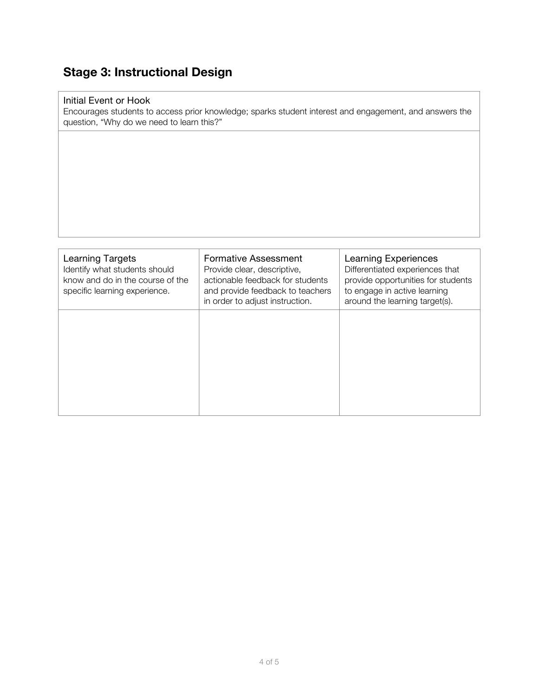# **Stage 3: Instructional Design**

#### Initial Event or Hook

Encourages students to access prior knowledge; sparks student interest and engagement, and answers the question, "Why do we need to learn this?"

| Learning Targets<br>Identify what students should<br>know and do in the course of the<br>specific learning experience. | <b>Formative Assessment</b><br>Provide clear, descriptive,<br>actionable feedback for students<br>and provide feedback to teachers | <b>Learning Experiences</b><br>Differentiated experiences that<br>provide opportunities for students<br>to engage in active learning |
|------------------------------------------------------------------------------------------------------------------------|------------------------------------------------------------------------------------------------------------------------------------|--------------------------------------------------------------------------------------------------------------------------------------|
|                                                                                                                        | in order to adjust instruction.                                                                                                    | around the learning target(s).                                                                                                       |
|                                                                                                                        |                                                                                                                                    |                                                                                                                                      |
|                                                                                                                        |                                                                                                                                    |                                                                                                                                      |
|                                                                                                                        |                                                                                                                                    |                                                                                                                                      |
|                                                                                                                        |                                                                                                                                    |                                                                                                                                      |